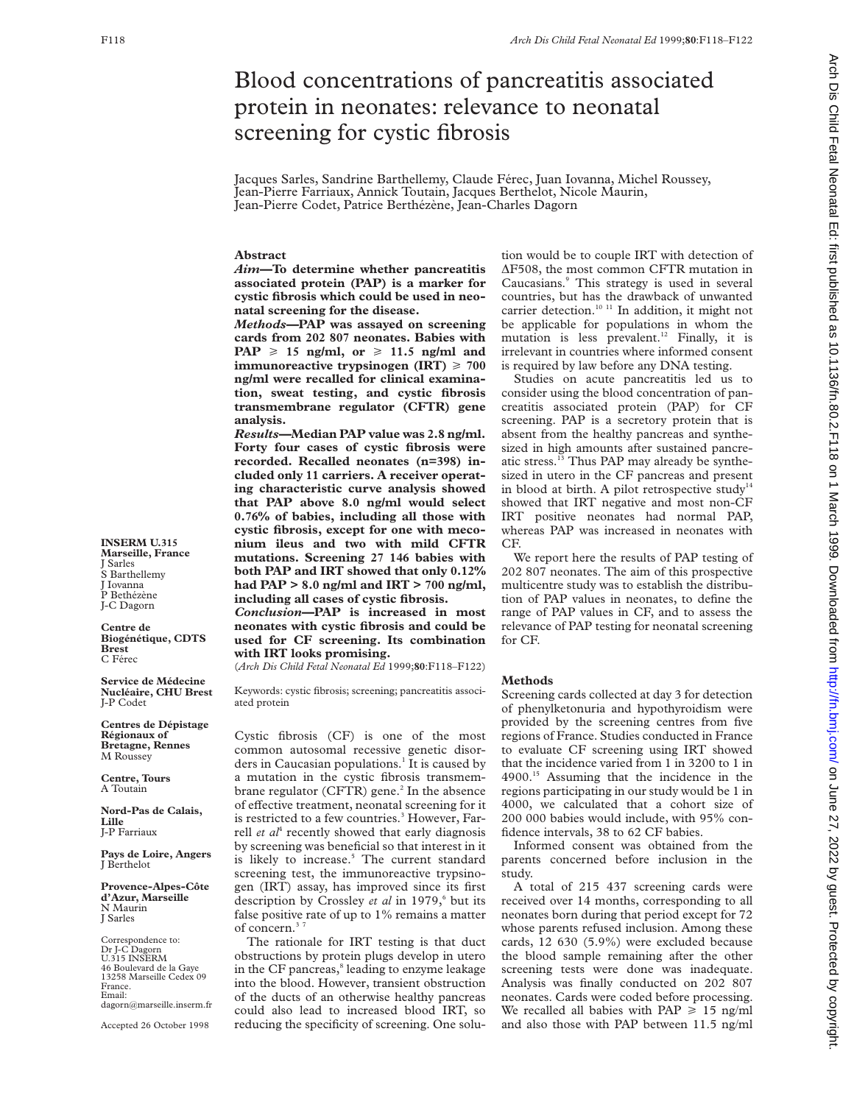# Blood concentrations of pancreatitis associated protein in neonates: relevance to neonatal screening for cystic fibrosis

Jacques Sarles, Sandrine Barthellemy, Claude Férec, Juan Iovanna, Michel Roussey, Jean-Pierre Farriaux, Annick Toutain, Jacques Berthelot, Nicole Maurin, Jean-Pierre Codet, Patrice Berthézène, Jean-Charles Dagorn

## **Abstract**

*Aim—***To determine whether pancreatitis associated protein (PAP) is a marker for cystic fibrosis which could be used in neonatal screening for the disease.**

*Methods—***PAP was assayed on screening cards from 202 807 neonates. Babies with PAP**  $\geq$  15 ng/ml, or  $\geq$  11.5 ng/ml and **immunoreactive trypsinogen (IRT)**  $\geq 700$ **ng/ml were recalled for clinical examination, sweat testing, and cystic fibrosis transmembrane regulator (CFTR) gene analysis.**

*Results—***Median PAP value was 2.8 ng/ml. Forty four cases of cystic fibrosis were recorded. Recalled neonates (n=398) included only 11 carriers. A receiver operating characteristic curve analysis showed that PAP above 8.0 ng/ml would select 0.76% of babies, including all those with cystic fibrosis, except for one with meconium ileus and two with mild CFTR mutations. Screening 27 146 babies with both PAP and IRT showed that only 0.12% had PAP > 8.0 ng/ml and IRT > 700 ng/ml, including all cases of cystic fibrosis.**

*Conclusion***—PAP is increased in most neonates with cystic fibrosis and could be used for CF screening. Its combination with IRT looks promising.**

(*Arch Dis Child Fetal Neonatal Ed* 1999;**80**:F118–F122)

Keywords: cystic fibrosis; screening; pancreatitis associated protein

Cystic fibrosis (CF) is one of the most common autosomal recessive genetic disorders in Caucasian populations.<sup>1</sup> It is caused by a mutation in the cystic fibrosis transmembrane regulator (CFTR) gene. $<sup>2</sup>$  In the absence</sup> of effective treatment, neonatal screening for it is restricted to a few countries.<sup>3</sup> However, Farrell *et al*<sup>4</sup> recently showed that early diagnosis by screening was beneficial so that interest in it is likely to increase.<sup>5</sup> The current standard screening test, the immunoreactive trypsinogen (IRT) assay, has improved since its first description by Crossley *et al* in 1979,<sup>6</sup> but its false positive rate of up to 1% remains a matter of concern.<sup>3</sup>

The rationale for IRT testing is that duct obstructions by protein plugs develop in utero in the CF pancreas,<sup>8</sup> leading to enzyme leakage into the blood. However, transient obstruction of the ducts of an otherwise healthy pancreas could also lead to increased blood IRT, so reducing the specificity of screening. One solu-

tion would be to couple IRT with detection of ÄF508, the most common CFTR mutation in Caucasians.9 This strategy is used in several countries, but has the drawback of unwanted carrier detection.<sup>10 11</sup> In addition, it might not be applicable for populations in whom the mutation is less prevalent.<sup>12</sup> Finally, it is irrelevant in countries where informed consent is required by law before any DNA testing.

Studies on acute pancreatitis led us to consider using the blood concentration of pancreatitis associated protein (PAP) for CF screening. PAP is a secretory protein that is absent from the healthy pancreas and synthesized in high amounts after sustained pancreatic stress.<sup>13</sup> Thus PAP may already be synthesized in utero in the CF pancreas and present in blood at birth. A pilot retrospective study $14$ showed that IRT negative and most non-CF IRT positive neonates had normal PAP, whereas PAP was increased in neonates with CF.

We report here the results of PAP testing of 202 807 neonates. The aim of this prospective multicentre study was to establish the distribution of PAP values in neonates, to define the range of PAP values in CF, and to assess the relevance of PAP testing for neonatal screening for CF.

### **Methods**

Screening cards collected at day 3 for detection of phenylketonuria and hypothyroidism were provided by the screening centres from five regions of France. Studies conducted in France to evaluate CF screening using IRT showed that the incidence varied from 1 in 3200 to 1 in 4900.15 Assuming that the incidence in the regions participating in our study would be 1 in 4000, we calculated that a cohort size of 200 000 babies would include, with 95% confidence intervals, 38 to 62 CF babies.

Informed consent was obtained from the parents concerned before inclusion in the study.

A total of 215 437 screening cards were received over 14 months, corresponding to all neonates born during that period except for 72 whose parents refused inclusion. Among these cards, 12 630 (5.9%) were excluded because the blood sample remaining after the other screening tests were done was inadequate. Analysis was finally conducted on 202 807 neonates. Cards were coded before processing. We recalled all babies with PAP  $\geq 15$  ng/ml and also those with PAP between 11.5 ng/ml

Arch Dis Child Fetal Neonatal Ed: first published as 10.1136/fn.80.2.F118 on 1 March 1999. Downloaded from http://fn.bmj.com/ on June 27, 2022 by guest. Protected by copyright on June 27, 2022 by guest. Protected by copyright. http://fn.bm/ Arch Dis Child Fetal Neonatal Form PHp://fn.bmj.com/ Du June 27, 2022 published by copyright.

**INSERM U.315 Marseille, France** J Sarles S Barthellemy J Iovanna P Bethézène J-C Dagorn

**Centre de Biogénétique, CDTS Brest** C Férec

**Service de Médecine Nucléaire, CHU Brest** J-P Codet

**Centres de Dépistage Régionaux of Bretagne, Rennes** M Roussey

**Centre, Tours** A Toutain

**Nord-Pas de Calais, Lille** J-P Farriaux

**Pays de Loire, Angers** J Berthelot

**Provence-Alpes-Côte d'Azur, Marseille** N Maurin J Sarles

Correspondence to: Dr J-C Dagorn U.315 INSERM 46 Boulevard de la Gaye 13258 Marseille Cedex 09 France. Email: dagorn@marseille.inserm.fr

Accepted 26 October 1998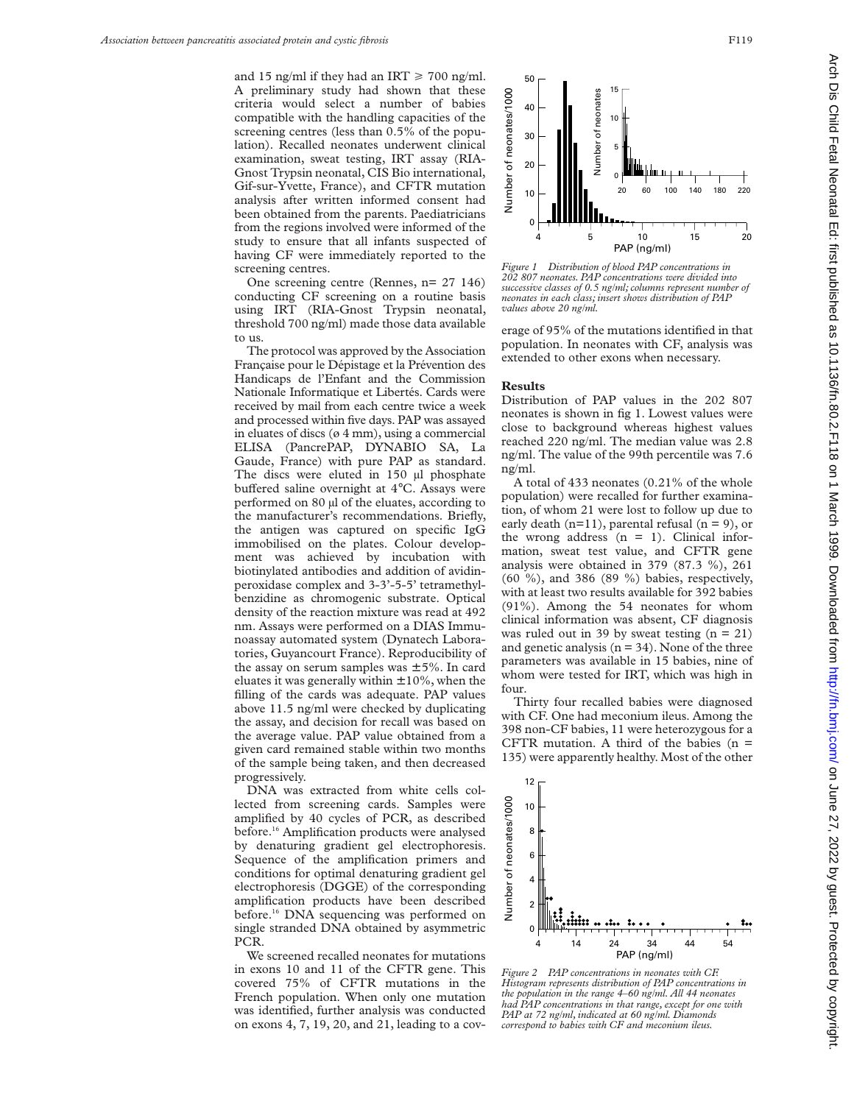and 15 ng/ml if they had an IRT  $\geq$  700 ng/ml. A preliminary study had shown that these criteria would select a number of babies compatible with the handling capacities of the screening centres (less than 0.5% of the population). Recalled neonates underwent clinical examination, sweat testing, IRT assay (RIA-Gnost Trypsin neonatal, CIS Bio international, Gif-sur-Yvette, France), and CFTR mutation analysis after written informed consent had been obtained from the parents. Paediatricians from the regions involved were informed of the study to ensure that all infants suspected of having CF were immediately reported to the screening centres.

One screening centre (Rennes, n= 27 146) conducting CF screening on a routine basis using IRT (RIA-Gnost Trypsin neonatal, threshold 700 ng/ml) made those data available to us.

The protocol was approved by the Association Française pour le Dépistage et la Prévention des Handicaps de l'Enfant and the Commission Nationale Informatique et Libertés. Cards were received by mail from each centre twice a week and processed within five days. PAP was assayed in eluates of discs (ø 4 mm), using a commercial ELISA (PancrePAP, DYNABIO SA, La Gaude, France) with pure PAP as standard. The discs were eluted in 150 µl phosphate buffered saline overnight at 4°C. Assays were performed on 80 µl of the eluates, according to the manufacturer's recommendations. Briefly, the antigen was captured on specific IgG immobilised on the plates. Colour development was achieved by incubation with biotinylated antibodies and addition of avidinperoxidase complex and 3-3'-5-5' tetramethylbenzidine as chromogenic substrate. Optical density of the reaction mixture was read at 492 nm. Assays were performed on a DIAS Immunoassay automated system (Dynatech Laboratories, Guyancourt France). Reproducibility of the assay on serum samples was  $\pm$  5%. In card eluates it was generally within  $\pm 10\%$ , when the filling of the cards was adequate. PAP values above 11.5 ng/ml were checked by duplicating the assay, and decision for recall was based on the average value. PAP value obtained from a given card remained stable within two months of the sample being taken, and then decreased progressively.

DNA was extracted from white cells collected from screening cards. Samples were amplified by 40 cycles of PCR, as described before.16 Amplification products were analysed by denaturing gradient gel electrophoresis. Sequence of the amplification primers and conditions for optimal denaturing gradient gel electrophoresis (DGGE) of the corresponding amplification products have been described before.<sup>16</sup> DNA sequencing was performed on single stranded DNA obtained by asymmetric PCR.

We screened recalled neonates for mutations in exons 10 and 11 of the CFTR gene. This covered 75% of CFTR mutations in the French population. When only one mutation was identified, further analysis was conducted on exons 4, 7, 19, 20, and 21, leading to a cov-



*Figure 1 Distribution of blood PAP concentrations in 202 807 neonates. PAP concentrations were divided into successive classes of 0.5 ng/ml; columns represent number of neonates in each class; insert shows distribution of PAP values above 20 ng/ml.*

erage of 95% of the mutations identified in that population. In neonates with CF, analysis was extended to other exons when necessary.

#### **Results**

Distribution of PAP values in the 202 807 neonates is shown in fig 1. Lowest values were close to background whereas highest values reached 220 ng/ml. The median value was 2.8 ng/ml. The value of the 99th percentile was 7.6 ng/ml.

A total of 433 neonates (0.21% of the whole population) were recalled for further examination, of whom 21 were lost to follow up due to early death  $(n=11)$ , parental refusal  $(n = 9)$ , or the wrong address  $(n = 1)$ . Clinical information, sweat test value, and CFTR gene analysis were obtained in 379 (87.3 %), 261 (60 %), and 386 (89 %) babies, respectively, with at least two results available for 392 babies (91%). Among the 54 neonates for whom clinical information was absent, CF diagnosis was ruled out in 39 by sweat testing  $(n = 21)$ and genetic analysis  $(n = 34)$ . None of the three parameters was available in 15 babies, nine of whom were tested for IRT, which was high in four.

Thirty four recalled babies were diagnosed with CF. One had meconium ileus. Among the 398 non-CF babies, 11 were heterozygous for a CFTR mutation. A third of the babies ( $n =$ 135) were apparently healthy. Most of the other



*Figure 2 PAP concentrations in neonates with CF. Histogram represents distribution of PAP concentrations in the population in the range 4–60 ng/ml. All 44 neonates had PAP concentrations in that range, except for one with PAP at 72 ng/ml, indicated at 60 ng/ml. Diamonds correspond to babies with CF and meconium ileus.*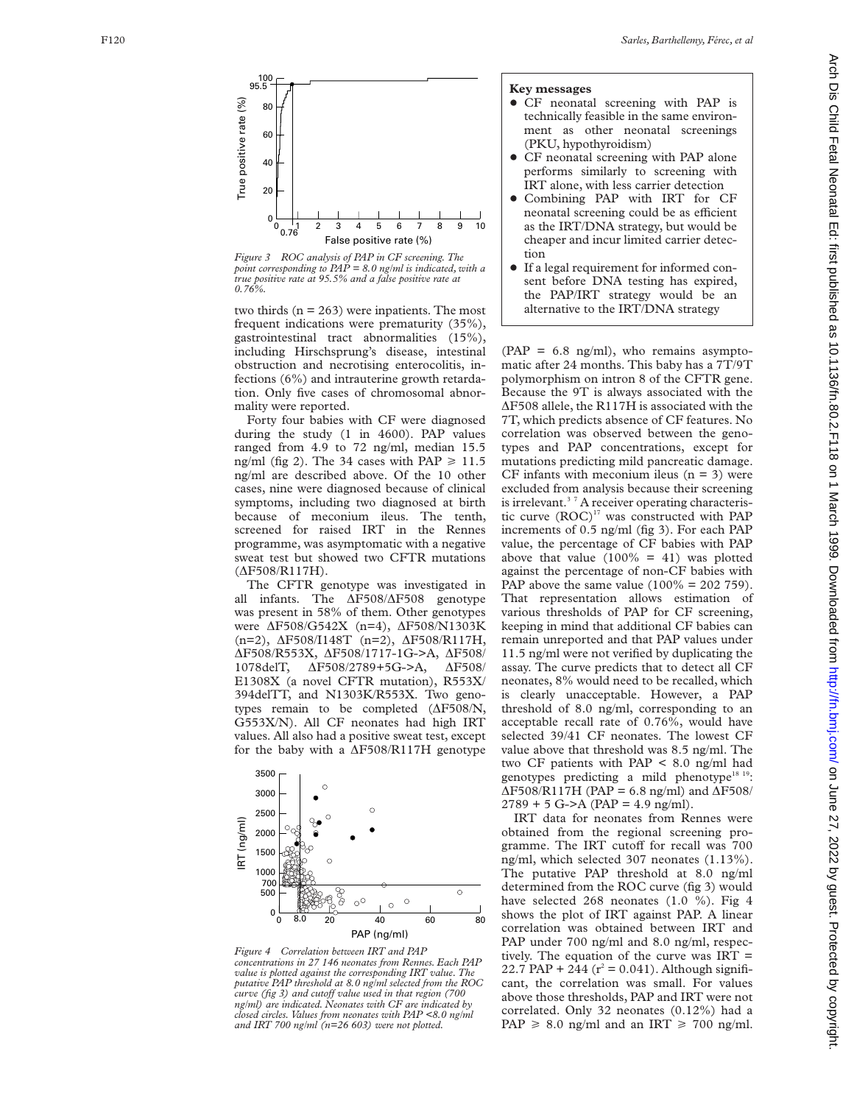

*Figure 3 ROC analysis of PAP in CF screening. The point corresponding to PAP = 8.0 ng/ml is indicated, with a true positive rate at 95.5% and a false positive rate at 0.76%.*

two thirds  $(n = 263)$  were inpatients. The most frequent indications were prematurity (35%), gastrointestinal tract abnormalities (15%), including Hirschsprung's disease, intestinal obstruction and necrotising enterocolitis, infections (6%) and intrauterine growth retardation. Only five cases of chromosomal abnormality were reported.

Forty four babies with CF were diagnosed during the study (1 in 4600). PAP values ranged from 4.9 to 72 ng/ml, median 15.5 ng/ml (fig 2). The 34 cases with  $PAP \ge 11.5$ ng/ml are described above. Of the 10 other cases, nine were diagnosed because of clinical symptoms, including two diagnosed at birth because of meconium ileus. The tenth, screened for raised IRT in the Rennes programme, was asymptomatic with a negative sweat test but showed two CFTR mutations (ÄF508/R117H).

The CFTR genotype was investigated in all infants. The ÄF508/ ÄF508 genotype was present in 58% of them. Other genotypes were ÄF508/G542X (n=4), ÄF508/N1303K (n=2), ÄF508/I148T (n=2), ÄF508/R117H, ÄF508/R553X, ÄF508/1717-1G->A, ÄF508/ 1078delT, ÄF508/2789+5G->A, ÄF508/ E1308X (a novel CFTR mutation), R553X/ 394delTT, and N1303K/R553X. Two genotypes remain to be completed  $(\Delta F508/N,$ G553X/N). All CF neonates had high IRT values. All also had a positive sweat test, except for the baby with a ÄF508/R117H genotype



*Figure 4 Correlation between IRT and PAP concentrations in 27 146 neonates from Rennes. Each PAP value is plotted against the corresponding IRT value. The putative PAP threshold at 8.0 ng/ml selected from the ROC curve (fig 3) and cutoV value used in that region (700 ng/ml) are indicated. Neonates with CF are indicated by closed circles. Values from neonates with PAP <8.0 ng/ml and IRT 700 ng/ml (n=26 603) were not plotted.*

# **Key messages**

- CF neonatal screening with PAP is technically feasible in the same environment as other neonatal screenings (PKU, hypothyroidism)
- CF neonatal screening with PAP alone performs similarly to screening with IRT alone, with less carrier detection
- Combining PAP with IRT for CF neonatal screening could be as efficient as the IRT/DNA strategy, but would be cheaper and incur limited carrier detection
- $\bullet$  If a legal requirement for informed consent before DNA testing has expired, the PAP/IRT strategy would be an alternative to the IRT/DNA strategy

 $(PAP = 6.8$  ng/ml), who remains asymptomatic after 24 months. This baby has a 7T/9T polymorphism on intron 8 of the CFTR gene. Because the 9T is always associated with the ÄF508 allele, the R117H is associated with the 7T, which predicts absence of CF features. No correlation was observed between the genotypes and PAP concentrations, except for mutations predicting mild pancreatic damage. CF infants with meconium ileus  $(n = 3)$  were excluded from analysis because their screening is irrelevant.<sup>37</sup> A receiver operating characteristic curve (ROC)<sup>17</sup> was constructed with PAP increments of 0.5 ng/ml (fig 3). For each PAP value, the percentage of CF babies with PAP above that value  $(100\% = 41)$  was plotted against the percentage of non-CF babies with PAP above the same value  $(100\% = 202759)$ . That representation allows estimation of various thresholds of PAP for CF screening, keeping in mind that additional CF babies can remain unreported and that PAP values under 11.5 ng/ml were not verified by duplicating the assay. The curve predicts that to detect all CF neonates, 8% would need to be recalled, which is clearly unacceptable. However, a PAP threshold of 8.0 ng/ml, corresponding to an acceptable recall rate of 0.76%, would have selected 39/41 CF neonates. The lowest CF value above that threshold was 8.5 ng/ml. The two CF patients with PAP < 8.0 ng/ml had genotypes predicting a mild phenotype<sup>18 19</sup>:  $\Delta$ F508/R117H (PAP = 6.8 ng/ml) and  $\Delta$ F508/  $2789 + 5$  G->A (PAP = 4.9 ng/ml).

IRT data for neonates from Rennes were obtained from the regional screening programme. The IRT cutoff for recall was 700 ng/ml, which selected 307 neonates (1.13%). The putative PAP threshold at 8.0 ng/ml determined from the ROC curve (fig 3) would have selected 268 neonates (1.0 %). Fig 4 shows the plot of IRT against PAP. A linear correlation was obtained between IRT and PAP under 700 ng/ml and 8.0 ng/ml, respectively. The equation of the curve was IRT = 22.7 PAP + 244 ( $r^2 = 0.041$ ). Although significant, the correlation was small. For values above those thresholds, PAP and IRT were not correlated. Only 32 neonates (0.12%) had a PAP  $\geq$  8.0 ng/ml and an IRT  $\geq$  700 ng/ml.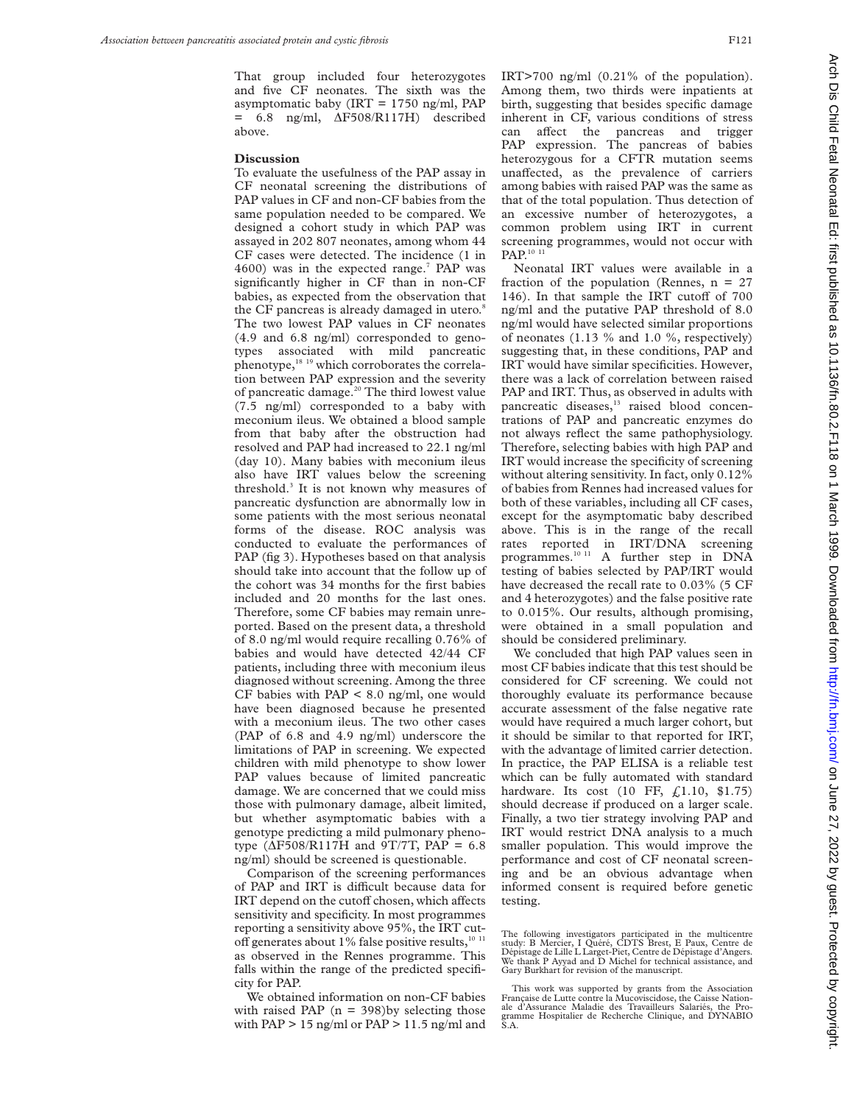That group included four heterozygotes and five CF neonates. The sixth was the asymptomatic baby (IRT =  $1750$  ng/ml, PAP  $= 6.8$  ng/ml,  $\Delta$ F508/R117H) described above.

## **Discussion**

To evaluate the usefulness of the PAP assay in CF neonatal screening the distributions of PAP values in CF and non-CF babies from the same population needed to be compared. We designed a cohort study in which PAP was assayed in 202 807 neonates, among whom 44 CF cases were detected. The incidence (1 in  $4600$ ) was in the expected range.<sup>7</sup> PAP was significantly higher in CF than in non-CF babies, as expected from the observation that the CF pancreas is already damaged in utero.<sup>8</sup> The two lowest PAP values in CF neonates (4.9 and 6.8 ng/ml) corresponded to genotypes associated with mild pancreatic phenotype,18 19 which corroborates the correlation between PAP expression and the severity of pancreatic damage.<sup>20</sup> The third lowest value (7.5 ng/ml) corresponded to a baby with meconium ileus. We obtained a blood sample from that baby after the obstruction had resolved and PAP had increased to 22.1 ng/ml (day 10). Many babies with meconium ileus also have IRT values below the screening threshold.3 It is not known why measures of pancreatic dysfunction are abnormally low in some patients with the most serious neonatal forms of the disease. ROC analysis was conducted to evaluate the performances of PAP (fig 3). Hypotheses based on that analysis should take into account that the follow up of the cohort was 34 months for the first babies included and 20 months for the last ones. Therefore, some CF babies may remain unreported. Based on the present data, a threshold of 8.0 ng/ml would require recalling 0.76% of babies and would have detected 42/44 CF patients, including three with meconium ileus diagnosed without screening. Among the three CF babies with  $PAP \leq 8.0$  ng/ml, one would have been diagnosed because he presented with a meconium ileus. The two other cases (PAP of 6.8 and 4.9 ng/ml) underscore the limitations of PAP in screening. We expected children with mild phenotype to show lower PAP values because of limited pancreatic damage. We are concerned that we could miss those with pulmonary damage, albeit limited, but whether asymptomatic babies with a genotype predicting a mild pulmonary phenotype ( $\Delta$ F508/R117H and 9T/7T, PAP = 6.8 ng/ml) should be screened is questionable.

Comparison of the screening performances of PAP and IRT is difficult because data for IRT depend on the cutoff chosen, which affects sensitivity and specificity. In most programmes reporting a sensitivity above 95%, the IRT cutoff generates about 1% false positive results, $10^{-11}$ as observed in the Rennes programme. This falls within the range of the predicted specificity for PAP.

We obtained information on non-CF babies with raised PAP ( $n = 398$ ) by selecting those with  $PAP > 15$  ng/ml or  $PAP > 11.5$  ng/ml and IRT>700 ng/ml (0.21% of the population). Among them, two thirds were inpatients at birth, suggesting that besides specific damage inherent in CF, various conditions of stress can affect the pancreas and trigger PAP expression. The pancreas of babies heterozygous for a CFTR mutation seems unaffected, as the prevalence of carriers among babies with raised PAP was the same as that of the total population. Thus detection of an excessive number of heterozygotes, a common problem using IRT in current screening programmes, would not occur with PAP.<sup>10 11</sup>

Neonatal IRT values were available in a fraction of the population (Rennes,  $n = 27$ 146). In that sample the IRT cutoff of  $700$ ng/ml and the putative PAP threshold of 8.0 ng/ml would have selected similar proportions of neonates (1.13 % and 1.0 %, respectively) suggesting that, in these conditions, PAP and IRT would have similar specificities. However, there was a lack of correlation between raised PAP and IRT. Thus, as observed in adults with pancreatic diseases,<sup>13</sup> raised blood concentrations of PAP and pancreatic enzymes do not always reflect the same pathophysiology. Therefore, selecting babies with high PAP and IRT would increase the specificity of screening without altering sensitivity. In fact, only 0.12% of babies from Rennes had increased values for both of these variables, including all CF cases, except for the asymptomatic baby described above. This is in the range of the recall rates reported in IRT/DNA screening programmes.<sup>10 11</sup> A further step in DNA testing of babies selected by PAP/IRT would have decreased the recall rate to 0.03% (5 CF and 4 heterozygotes) and the false positive rate to 0.015%. Our results, although promising, were obtained in a small population and should be considered preliminary.

We concluded that high PAP values seen in most CF babies indicate that this test should be considered for CF screening. We could not thoroughly evaluate its performance because accurate assessment of the false negative rate would have required a much larger cohort, but it should be similar to that reported for IRT, with the advantage of limited carrier detection. In practice, the PAP ELISA is a reliable test which can be fully automated with standard hardware. Its cost (10 FF, £1.10, \$1.75) should decrease if produced on a larger scale. Finally, a two tier strategy involving PAP and IRT would restrict DNA analysis to a much smaller population. This would improve the performance and cost of CF neonatal screening and be an obvious advantage when informed consent is required before genetic testing.

The following investigators participated in the multicentre study: B Mercier, I Quéré, CDTS Brest, E Paux, Centre de Dépistage de Lille L Larget-Piet, Centre de Dépistage d'Angers. We thank P Ayyad and D Michel for technical assistance, and Gary Burkhart for revision of the manuscript.

This work was supported by grants from the Association Française de Lutte contre la Mucoviscidose, the Caisse Nationale d'Assurance Maladie des Travailleurs Salariés, the Pro-gramme Hospitalier de Recherche Clinique, and DYNABIO  $\tilde{S}$  A.